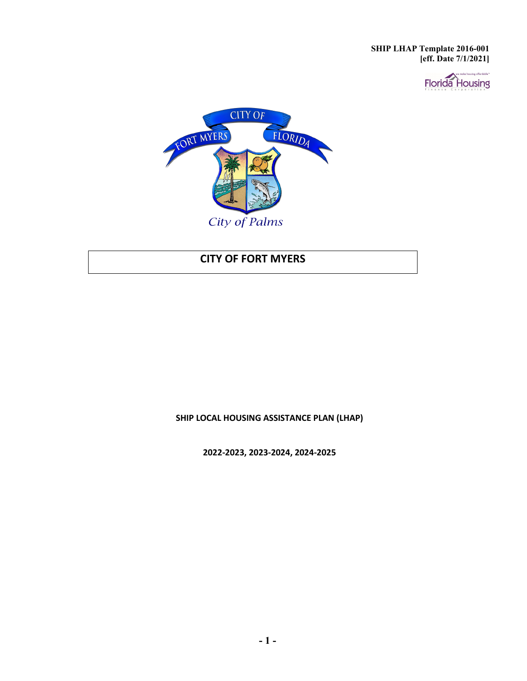



# **CITY OF FORT MYERS**

**SHIP LOCAL HOUSING ASSISTANCE PLAN (LHAP)**

**2022-2023, 2023-2024, 2024-2025**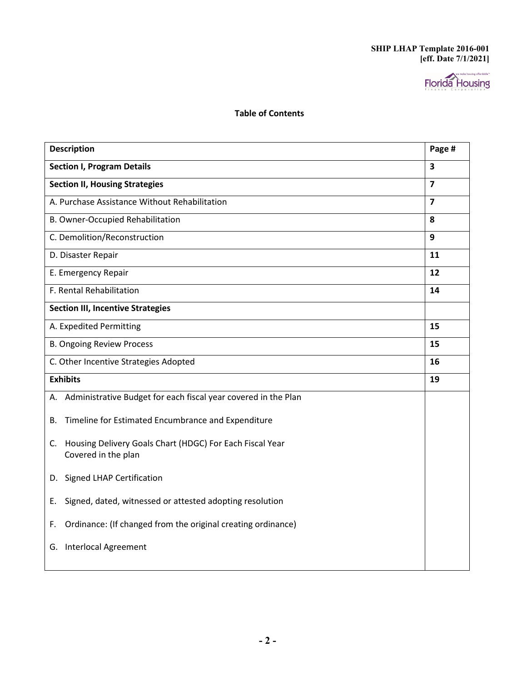

#### **Table of Contents**

| <b>Description</b>                                                                    | Page #                  |
|---------------------------------------------------------------------------------------|-------------------------|
| <b>Section I, Program Details</b>                                                     | $\overline{\mathbf{3}}$ |
| <b>Section II, Housing Strategies</b>                                                 | $\overline{\mathbf{z}}$ |
| A. Purchase Assistance Without Rehabilitation                                         | $\overline{7}$          |
| B. Owner-Occupied Rehabilitation                                                      | 8                       |
| C. Demolition/Reconstruction                                                          | 9                       |
| D. Disaster Repair                                                                    | 11                      |
| E. Emergency Repair                                                                   | 12                      |
| F. Rental Rehabilitation                                                              | 14                      |
| <b>Section III, Incentive Strategies</b>                                              |                         |
| A. Expedited Permitting                                                               | 15                      |
| <b>B. Ongoing Review Process</b>                                                      | 15                      |
| C. Other Incentive Strategies Adopted                                                 | 16                      |
| <b>Exhibits</b>                                                                       | 19                      |
| A. Administrative Budget for each fiscal year covered in the Plan                     |                         |
| Timeline for Estimated Encumbrance and Expenditure<br>В.                              |                         |
| Housing Delivery Goals Chart (HDGC) For Each Fiscal Year<br>C.<br>Covered in the plan |                         |
| D. Signed LHAP Certification                                                          |                         |
| Signed, dated, witnessed or attested adopting resolution<br>Е.                        |                         |
| Ordinance: (If changed from the original creating ordinance)<br>F.                    |                         |
| <b>Interlocal Agreement</b><br>G.                                                     |                         |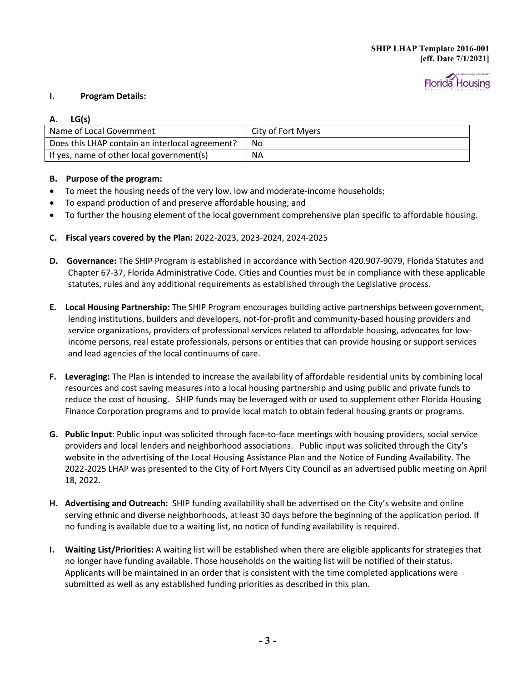

#### **I. Program Details:**

#### **A. LG(s)**

| Name of Local Government                        | City of Fort Myers |
|-------------------------------------------------|--------------------|
| Does this LHAP contain an interlocal agreement? | No.                |
| If yes, name of other local government(s)       | <b>NA</b>          |

#### **B. Purpose of the program:**

- To meet the housing needs of the very low, low and moderate-income households;
- To expand production of and preserve affordable housing; and
- To further the housing element of the local government comprehensive plan specific to affordable housing.
- **C. Fiscal years covered by the Plan:** 2022-2023, 2023-2024, 2024-2025
- **D. Governance:** The SHIP Program is established in accordance with Section 420.907-9079, Florida Statutes and Chapter 67-37, Florida Administrative Code. Cities and Counties must be in compliance with these applicable statutes, rules and any additional requirements as established through the Legislative process.
- **E. Local Housing Partnership:** The SHIP Program encourages building active partnerships between government, lending institutions, builders and developers, not-for-profit and community-based housing providers and service organizations, providers of professional services related to affordable housing, advocates for lowincome persons, real estate professionals, persons or entities that can provide housing or support services and lead agencies of the local continuums of care.
- **F. Leveraging:** The Plan is intended to increase the availability of affordable residential units by combining local resources and cost saving measures into a local housing partnership and using public and private funds to reduce the cost of housing. SHIP funds may be leveraged with or used to supplement other Florida Housing Finance Corporation programs and to provide local match to obtain federal housing grants or programs.
- **G. Public Input**: Public input was solicited through face-to-face meetings with housing providers, social service providers and local lenders and neighborhood associations. Public input was solicited through the City's website in the advertising of the Local Housing Assistance Plan and the Notice of Funding Availability. The 2022-2025 LHAP was presented to the City of Fort Myers City Council as an advertised public meeting on April 18, 2022.
- **H. Advertising and Outreach:** SHIP funding availability shall be advertised on the City's website and online serving ethnic and diverse neighborhoods, at least 30 days before the beginning of the application period. If no funding is available due to a waiting list, no notice of funding availability is required.
- **I. Waiting List/Priorities:** A waiting list will be established when there are eligible applicants for strategies that no longer have funding available. Those households on the waiting list will be notified of their status. Applicants will be maintained in an order that is consistent with the time completed applications were submitted as well as any established funding priorities as described in this plan.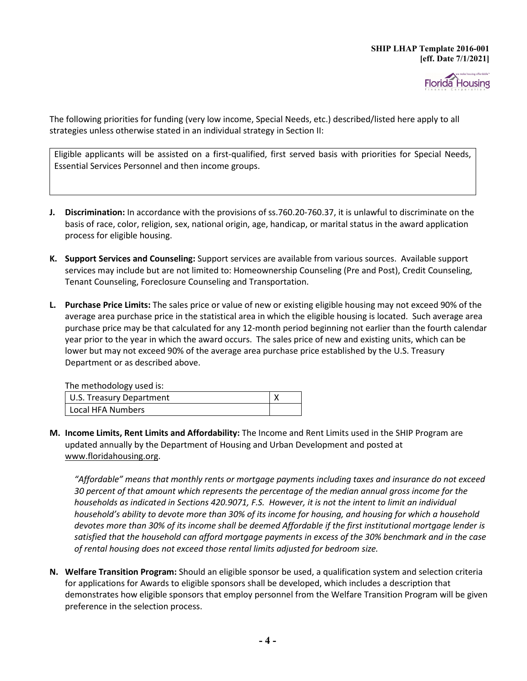

The following priorities for funding (very low income, Special Needs, etc.) described/listed here apply to all strategies unless otherwise stated in an individual strategy in Section II:

Eligible applicants will be assisted on a first-qualified, first served basis with priorities for Special Needs, Essential Services Personnel and then income groups.

- **J. Discrimination:** In accordance with the provisions of ss.760.20-760.37, it is unlawful to discriminate on the basis of race, color, religion, sex, national origin, age, handicap, or marital status in the award application process for eligible housing.
- **K. Support Services and Counseling:** Support services are available from various sources. Available support services may include but are not limited to: Homeownership Counseling (Pre and Post), Credit Counseling, Tenant Counseling, Foreclosure Counseling and Transportation.
- **L. Purchase Price Limits:** The sales price or value of new or existing eligible housing may not exceed 90% of the average area purchase price in the statistical area in which the eligible housing is located. Such average area purchase price may be that calculated for any 12-month period beginning not earlier than the fourth calendar year prior to the year in which the award occurs. The sales price of new and existing units, which can be lower but may not exceed 90% of the average area purchase price established by the U.S. Treasury Department or as described above.

| The methodology used is: |  |
|--------------------------|--|
| U.S. Treasury Department |  |
| Local HFA Numbers        |  |

**M. Income Limits, Rent Limits and Affordability:** The Income and Rent Limits used in the SHIP Program are updated annually by the Department of Housing and Urban Development and posted at [www.floridahousing.org.](http://www.floridahousing.org/)

*"Affordable" means that monthly rents or mortgage payments including taxes and insurance do not exceed 30 percent of that amount which represents the percentage of the median annual gross income for the households as indicated in Sections 420.9071, F.S. However, it is not the intent to limit an individual household's ability to devote more than 30% of its income for housing, and housing for which a household devotes more than 30% of its income shall be deemed Affordable if the first institutional mortgage lender is satisfied that the household can afford mortgage payments in excess of the 30% benchmark and in the case of rental housing does not exceed those rental limits adjusted for bedroom size.*

**N. Welfare Transition Program:** Should an eligible sponsor be used, a qualification system and selection criteria for applications for Awards to eligible sponsors shall be developed, which includes a description that demonstrates how eligible sponsors that employ personnel from the Welfare Transition Program will be given preference in the selection process.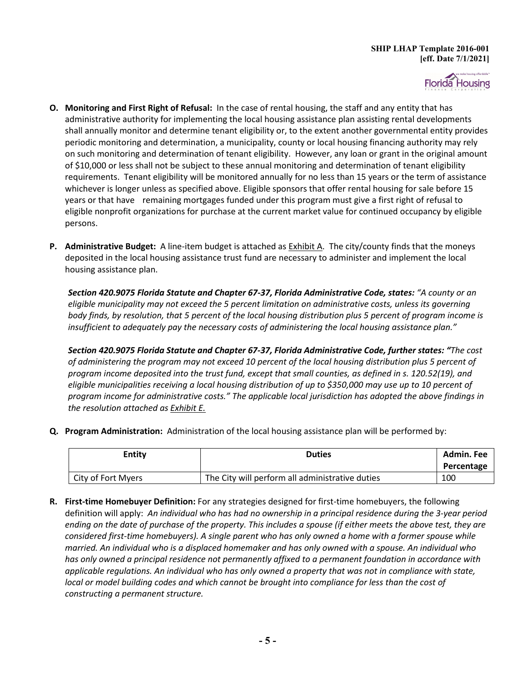

- **O. Monitoring and First Right of Refusal:** In the case of rental housing, the staff and any entity that has administrative authority for implementing the local housing assistance plan assisting rental developments shall annually monitor and determine tenant eligibility or, to the extent another governmental entity provides periodic monitoring and determination, a municipality, county or local housing financing authority may rely on such monitoring and determination of tenant eligibility. However, any loan or grant in the original amount of \$10,000 or less shall not be subject to these annual monitoring and determination of tenant eligibility requirements. Tenant eligibility will be monitored annually for no less than 15 years or the term of assistance whichever is longer unless as specified above. Eligible sponsors that offer rental housing for sale before 15 years or that have remaining mortgages funded under this program must give a first right of refusal to eligible nonprofit organizations for purchase at the current market value for continued occupancy by eligible persons.
- **P. Administrative Budget:** A line-item budget is attached as Exhibit A. The city/county finds that the moneys deposited in the local housing assistance trust fund are necessary to administer and implement the local housing assistance plan.

*Section 420.9075 Florida Statute and Chapter 67-37, Florida Administrative Code, states: "A county or an eligible municipality may not exceed the 5 percent limitation on administrative costs, unless its governing body finds, by resolution, that 5 percent of the local housing distribution plus 5 percent of program income is insufficient to adequately pay the necessary costs of administering the local housing assistance plan."* 

*Section 420.9075 Florida Statute and Chapter 67-37, Florida Administrative Code, further states: "The cost of administering the program may not exceed 10 percent of the local housing distribution plus 5 percent of program income deposited into the trust fund, except that small counties, as defined in s. 120.52(19), and eligible municipalities receiving a local housing distribution of up to \$350,000 may use up to 10 percent of program income for administrative costs." The applicable local jurisdiction has adopted the above findings in the resolution attached as Exhibit E.* 

**Q. Program Administration:** Administration of the local housing assistance plan will be performed by:

| Entity             | <b>Duties</b>                                   | Admin. Fee<br>Percentage |
|--------------------|-------------------------------------------------|--------------------------|
| City of Fort Myers | The City will perform all administrative duties | 100                      |

**R. First-time Homebuyer Definition:** For any strategies designed for first-time homebuyers, the following definition will apply:*An individual who has had no ownership in a principal residence during the 3-year period ending on the date of purchase of the property. This includes a spouse (if either meets the above test, they are considered first-time homebuyers). A single parent who has only owned a home with a former spouse while married. An individual who is a displaced homemaker and has only owned with a spouse. An individual who has only owned a principal residence not permanently affixed to a permanent foundation in accordance with applicable regulations. An individual who has only owned a property that was not in compliance with state, local or model building codes and which cannot be brought into compliance for less than the cost of constructing a permanent structure.*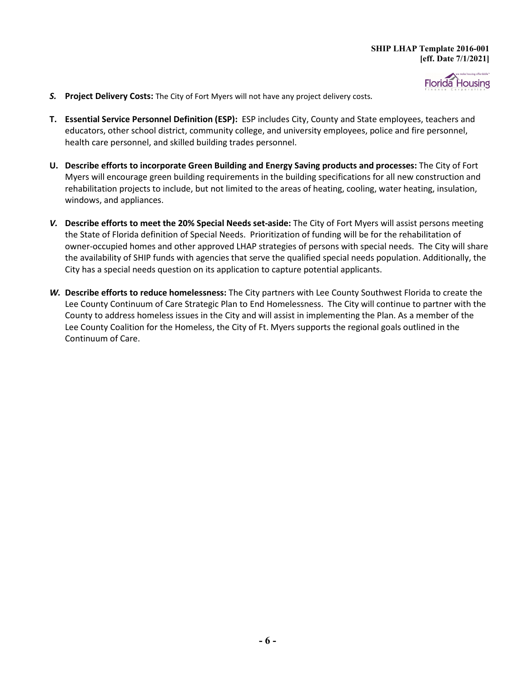

- *S.* **Project Delivery Costs:** The City of Fort Myers will not have any project delivery costs*.*
- **T. Essential Service Personnel Definition (ESP):** ESP includes City, County and State employees, teachers and educators, other school district, community college, and university employees, police and fire personnel, health care personnel, and skilled building trades personnel.
- **U. Describe efforts to incorporate Green Building and Energy Saving products and processes:** The City of Fort Myers will encourage green building requirements in the building specifications for all new construction and rehabilitation projects to include, but not limited to the areas of heating, cooling, water heating, insulation, windows, and appliances.
- *V.* **Describe efforts to meet the 20% Special Needs set-aside:** The City of Fort Myers will assist persons meeting the State of Florida definition of Special Needs. Prioritization of funding will be for the rehabilitation of owner-occupied homes and other approved LHAP strategies of persons with special needs. The City will share the availability of SHIP funds with agencies that serve the qualified special needs population. Additionally, the City has a special needs question on its application to capture potential applicants.
- *W.* **Describe efforts to reduce homelessness:** The City partners with Lee County Southwest Florida to create the Lee County Continuum of Care Strategic Plan to End Homelessness. The City will continue to partner with the County to address homeless issues in the City and will assist in implementing the Plan. As a member of the Lee County Coalition for the Homeless, the City of Ft. Myers supports the regional goals outlined in the Continuum of Care.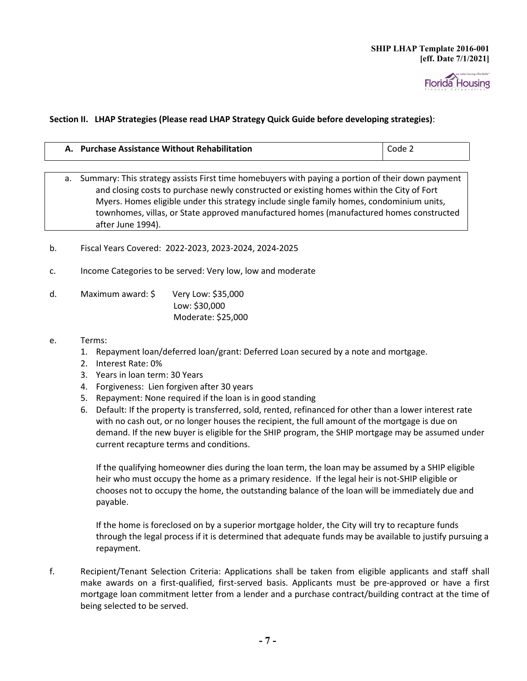

#### **Section II. LHAP Strategies (Please read LHAP Strategy Quick Guide before developing strategies)**:

|                                                                                                     | A. Purchase Assistance Without Rehabilitation                                           | Code 2 |
|-----------------------------------------------------------------------------------------------------|-----------------------------------------------------------------------------------------|--------|
|                                                                                                     |                                                                                         |        |
| a. Summary: This strategy assists First time homebuyers with paying a portion of their down payment |                                                                                         |        |
| and closing costs to purchase newly constructed or existing homes within the City of Fort           |                                                                                         |        |
|                                                                                                     | Muare Hamos oligible under this strategy include single family hamos, condeminium units |        |

Myers. Homes eligible under this strategy include single family homes, condominium units, townhomes, villas, or State approved manufactured homes (manufactured homes constructed after June 1994).

- b. Fiscal Years Covered: 2022-2023, 2023-2024, 2024-2025
- c. Income Categories to be served: Very low, low and moderate
- d. Maximum award: \$ Very Low: \$35,000 Low: \$30,000 Moderate: \$25,000
- e. Terms:
	- 1. Repayment loan/deferred loan/grant: Deferred Loan secured by a note and mortgage.
	- 2. Interest Rate: 0%
	- 3. Years in loan term: 30 Years
	- 4. Forgiveness: Lien forgiven after 30 years
	- 5. Repayment: None required if the loan is in good standing
	- 6. Default: If the property is transferred, sold, rented, refinanced for other than a lower interest rate with no cash out, or no longer houses the recipient, the full amount of the mortgage is due on demand. If the new buyer is eligible for the SHIP program, the SHIP mortgage may be assumed under current recapture terms and conditions.

If the qualifying homeowner dies during the loan term, the loan may be assumed by a SHIP eligible heir who must occupy the home as a primary residence. If the legal heir is not-SHIP eligible or chooses not to occupy the home, the outstanding balance of the loan will be immediately due and payable.

If the home is foreclosed on by a superior mortgage holder, the City will try to recapture funds through the legal process if it is determined that adequate funds may be available to justify pursuing a repayment.

f. Recipient/Tenant Selection Criteria: Applications shall be taken from eligible applicants and staff shall make awards on a first-qualified, first-served basis. Applicants must be pre-approved or have a first mortgage loan commitment letter from a lender and a purchase contract/building contract at the time of being selected to be served.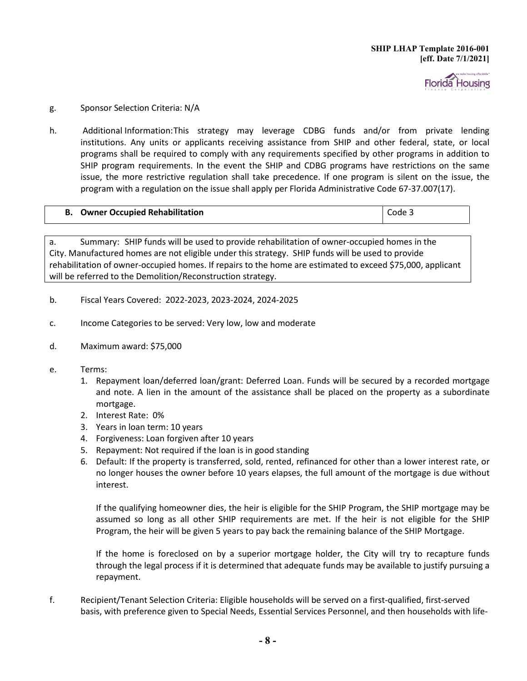

#### g. Sponsor Selection Criteria: N/A

h. Additional Information:This strategy may leverage CDBG funds and/or from private lending institutions. Any units or applicants receiving assistance from SHIP and other federal, state, or local programs shall be required to comply with any requirements specified by other programs in addition to SHIP program requirements. In the event the SHIP and CDBG programs have restrictions on the same issue, the more restrictive regulation shall take precedence. If one program is silent on the issue, the program with a regulation on the issue shall apply per Florida Administrative Code 67-37.007(17).

| <b>Owner Occupied Rehabilitation</b> | Code 3 |
|--------------------------------------|--------|
|--------------------------------------|--------|

a. Summary: SHIP funds will be used to provide rehabilitation of owner-occupied homes in the City. Manufactured homes are not eligible under this strategy. SHIP funds will be used to provide rehabilitation of owner-occupied homes. If repairs to the home are estimated to exceed \$75,000, applicant will be referred to the Demolition/Reconstruction strategy.

- b. Fiscal Years Covered: 2022-2023, 2023-2024, 2024-2025
- c. Income Categories to be served: Very low, low and moderate
- d. Maximum award: \$75,000
- e. Terms:
	- 1. Repayment loan/deferred loan/grant: Deferred Loan. Funds will be secured by a recorded mortgage and note. A lien in the amount of the assistance shall be placed on the property as a subordinate mortgage.
	- 2. Interest Rate: 0%
	- 3. Years in loan term: 10 years
	- 4. Forgiveness: Loan forgiven after 10 years
	- 5. Repayment: Not required if the loan is in good standing
	- 6. Default: If the property is transferred, sold, rented, refinanced for other than a lower interest rate, or no longer houses the owner before 10 years elapses, the full amount of the mortgage is due without interest.

If the qualifying homeowner dies, the heir is eligible for the SHIP Program, the SHIP mortgage may be assumed so long as all other SHIP requirements are met. If the heir is not eligible for the SHIP Program, the heir will be given 5 years to pay back the remaining balance of the SHIP Mortgage.

If the home is foreclosed on by a superior mortgage holder, the City will try to recapture funds through the legal process if it is determined that adequate funds may be available to justify pursuing a repayment.

f. Recipient/Tenant Selection Criteria: Eligible households will be served on a first-qualified, first-served basis, with preference given to Special Needs, Essential Services Personnel, and then households with life-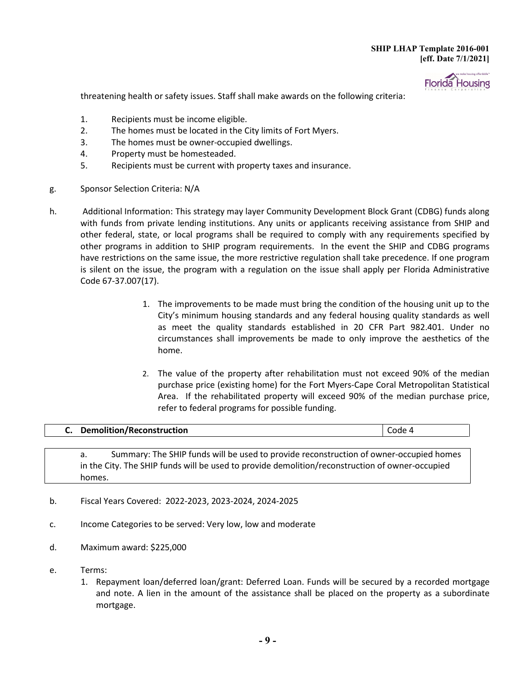

threatening health or safety issues. Staff shall make awards on the following criteria:

- 1. Recipients must be income eligible.
- 2. The homes must be located in the City limits of Fort Myers.
- 3. The homes must be owner-occupied dwellings.
- 4. Property must be homesteaded.
- 5. Recipients must be current with property taxes and insurance.
- g. Sponsor Selection Criteria: N/A
- h. Additional Information: This strategy may layer Community Development Block Grant (CDBG) funds along with funds from private lending institutions. Any units or applicants receiving assistance from SHIP and other federal, state, or local programs shall be required to comply with any requirements specified by other programs in addition to SHIP program requirements. In the event the SHIP and CDBG programs have restrictions on the same issue, the more restrictive regulation shall take precedence. If one program is silent on the issue, the program with a regulation on the issue shall apply per Florida Administrative Code 67-37.007(17).
	- 1. The improvements to be made must bring the condition of the housing unit up to the City's minimum housing standards and any federal housing quality standards as well as meet the quality standards established in 20 CFR Part 982.401. Under no circumstances shall improvements be made to only improve the aesthetics of the home.
	- 2. The value of the property after rehabilitation must not exceed 90% of the median purchase price (existing home) for the Fort Myers-Cape Coral Metropolitan Statistical Area. If the rehabilitated property will exceed 90% of the median purchase price, refer to federal programs for possible funding.

### **C. Demolition/Reconstruction Code 4 Code 4 Code 4 Code 4 Code 4**

a. Summary: The SHIP funds will be used to provide reconstruction of owner-occupied homes in the City. The SHIP funds will be used to provide demolition/reconstruction of owner-occupied homes.

- b. Fiscal Years Covered: 2022-2023, 2023-2024, 2024-2025
- c. Income Categories to be served: Very low, low and moderate
- d. Maximum award: \$225,000
- e. Terms:
	- 1. Repayment loan/deferred loan/grant: Deferred Loan. Funds will be secured by a recorded mortgage and note. A lien in the amount of the assistance shall be placed on the property as a subordinate mortgage.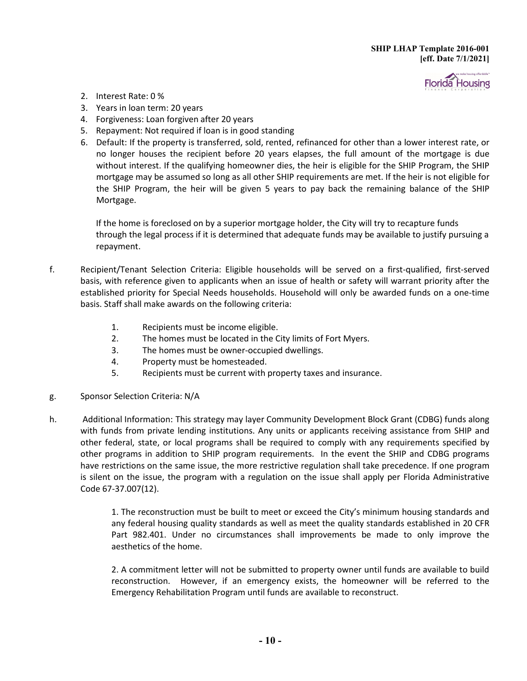

- 2. Interest Rate: 0 %
- 3. Years in loan term: 20 years
- 4. Forgiveness: Loan forgiven after 20 years
- 5. Repayment: Not required if loan is in good standing
- 6. Default: If the property is transferred, sold, rented, refinanced for other than a lower interest rate, or no longer houses the recipient before 20 years elapses, the full amount of the mortgage is due without interest. If the qualifying homeowner dies, the heir is eligible for the SHIP Program, the SHIP mortgage may be assumed so long as all other SHIP requirements are met. If the heir is not eligible for the SHIP Program, the heir will be given 5 years to pay back the remaining balance of the SHIP Mortgage.

If the home is foreclosed on by a superior mortgage holder, the City will try to recapture funds through the legal process if it is determined that adequate funds may be available to justify pursuing a repayment.

- f. Recipient/Tenant Selection Criteria: Eligible households will be served on a first-qualified, first-served basis, with reference given to applicants when an issue of health or safety will warrant priority after the established priority for Special Needs households. Household will only be awarded funds on a one-time basis. Staff shall make awards on the following criteria:
	- 1. Recipients must be income eligible.
	- 2. The homes must be located in the City limits of Fort Myers.
	- 3. The homes must be owner-occupied dwellings.
	- 4. Property must be homesteaded.
	- 5. Recipients must be current with property taxes and insurance.
- g. Sponsor Selection Criteria: N/A
- h. Additional Information: This strategy may layer Community Development Block Grant (CDBG) funds along with funds from private lending institutions. Any units or applicants receiving assistance from SHIP and other federal, state, or local programs shall be required to comply with any requirements specified by other programs in addition to SHIP program requirements. In the event the SHIP and CDBG programs have restrictions on the same issue, the more restrictive regulation shall take precedence. If one program is silent on the issue, the program with a regulation on the issue shall apply per Florida Administrative Code 67-37.007(12).

1. The reconstruction must be built to meet or exceed the City's minimum housing standards and any federal housing quality standards as well as meet the quality standards established in 20 CFR Part 982.401. Under no circumstances shall improvements be made to only improve the aesthetics of the home.

2. A commitment letter will not be submitted to property owner until funds are available to build reconstruction. However, if an emergency exists, the homeowner will be referred to the Emergency Rehabilitation Program until funds are available to reconstruct.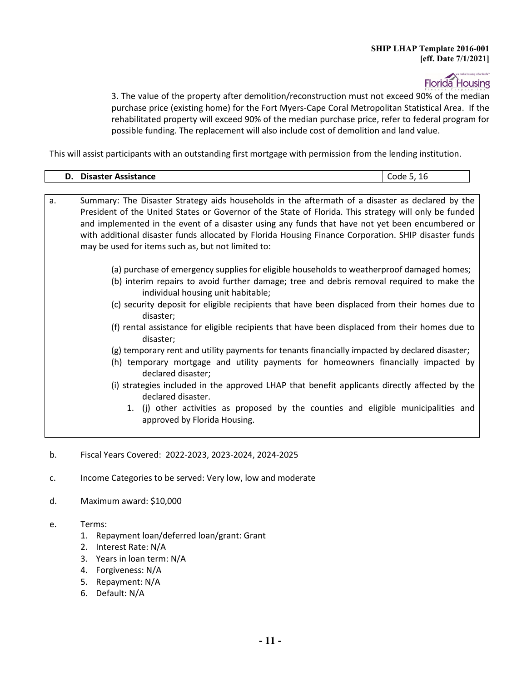**Florida** Housing

3. The value of the property after demolition/reconstruction must not exceed 90% of the median purchase price (existing home) for the Fort Myers-Cape Coral Metropolitan Statistical Area. If the rehabilitated property will exceed 90% of the median purchase price, refer to federal program for possible funding. The replacement will also include cost of demolition and land value.

This will assist participants with an outstanding first mortgage with permission from the lending institution.

| Disaster Assistance<br>ma<br>υ,<br>- - | ᅩ |
|----------------------------------------|---|
|                                        |   |

| а. | Summary: The Disaster Strategy aids households in the aftermath of a disaster as declared by the                                |
|----|---------------------------------------------------------------------------------------------------------------------------------|
|    | President of the United States or Governor of the State of Florida. This strategy will only be funded                           |
|    | and implemented in the event of a disaster using any funds that have not yet been encumbered or                                 |
|    | with additional disaster funds allocated by Florida Housing Finance Corporation. SHIP disaster funds                            |
|    | may be used for items such as, but not limited to:                                                                              |
|    |                                                                                                                                 |
|    | (a) purchase of emergency supplies for eligible households to weatherproof damaged homes;                                       |
|    | (b) interim repairs to avoid further damage; tree and debris removal required to make the<br>individual housing unit habitable; |
|    | (c) security deposit for eligible recipients that have been displaced from their homes due to<br>disaster;                      |
|    | (f) rental assistance for eligible recipients that have been displaced from their homes due to<br>disaster;                     |
|    | (g) temporary rent and utility payments for tenants financially impacted by declared disaster;                                  |
|    | (h) temporary mortgage and utility payments for homeowners financially impacted by<br>declared disaster;                        |
|    | (i) strategies included in the approved LHAP that benefit applicants directly affected by the<br>declared disaster.             |
|    | 1. (j) other activities as proposed by the counties and eligible municipalities and<br>approved by Florida Housing.             |
|    |                                                                                                                                 |

- b. Fiscal Years Covered: 2022-2023, 2023-2024, 2024-2025
- c. Income Categories to be served: Very low, low and moderate
- d. Maximum award: \$10,000
- e. Terms:
	- 1. Repayment loan/deferred loan/grant: Grant
	- 2. Interest Rate: N/A
	- 3. Years in loan term: N/A
	- 4. Forgiveness: N/A
	- 5. Repayment: N/A
	- 6. Default: N/A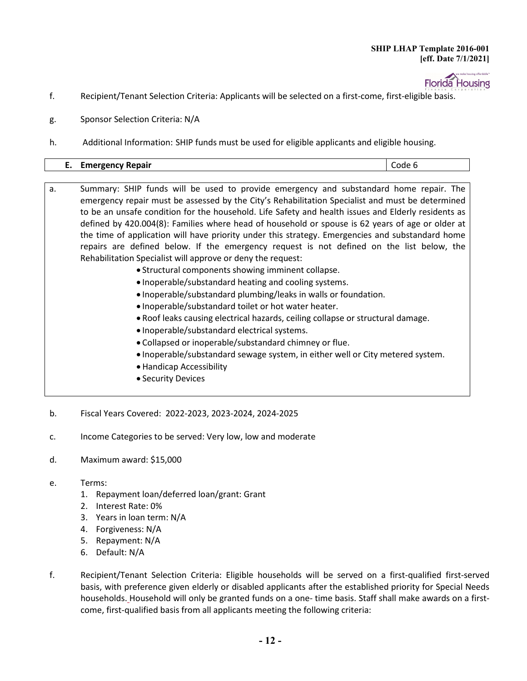

- f. Recipient/Tenant Selection Criteria: Applicants will be selected on a first-come, first-eligible basis.
- g. Sponsor Selection Criteria: N/A
- h. Additional Information: SHIP funds must be used for eligible applicants and eligible housing.

| Repair<br><br>-------<br>__ |
|-----------------------------|
|-----------------------------|

- a. Summary: SHIP funds will be used to provide emergency and substandard home repair. The emergency repair must be assessed by the City's Rehabilitation Specialist and must be determined to be an unsafe condition for the household. Life Safety and health issues and Elderly residents as defined by 420.004(8): Families where head of household or spouse is 62 years of age or older at the time of application will have priority under this strategy. Emergencies and substandard home repairs are defined below. If the emergency request is not defined on the list below, the Rehabilitation Specialist will approve or deny the request:
	- Structural components showing imminent collapse.
	- Inoperable/substandard heating and cooling systems.
	- Inoperable/substandard plumbing/leaks in walls or foundation.
	- Inoperable/substandard toilet or hot water heater.
	- Roof leaks causing electrical hazards, ceiling collapse or structural damage.
	- Inoperable/substandard electrical systems.
	- Collapsed or inoperable/substandard chimney or flue.
	- Inoperable/substandard sewage system, in either well or City metered system.
	- Handicap Accessibility
	- Security Devices
- b. Fiscal Years Covered: 2022-2023, 2023-2024, 2024-2025
- c. Income Categories to be served: Very low, low and moderate
- d. Maximum award: \$15,000
- e. Terms:
	- 1. Repayment loan/deferred loan/grant: Grant
	- 2. Interest Rate: 0%
	- 3. Years in loan term: N/A
	- 4. Forgiveness: N/A
	- 5. Repayment: N/A
	- 6. Default: N/A
- f. Recipient/Tenant Selection Criteria: Eligible households will be served on a first-qualified first-served basis, with preference given elderly or disabled applicants after the established priority for Special Needs households. Household will only be granted funds on a one- time basis. Staff shall make awards on a firstcome, first-qualified basis from all applicants meeting the following criteria: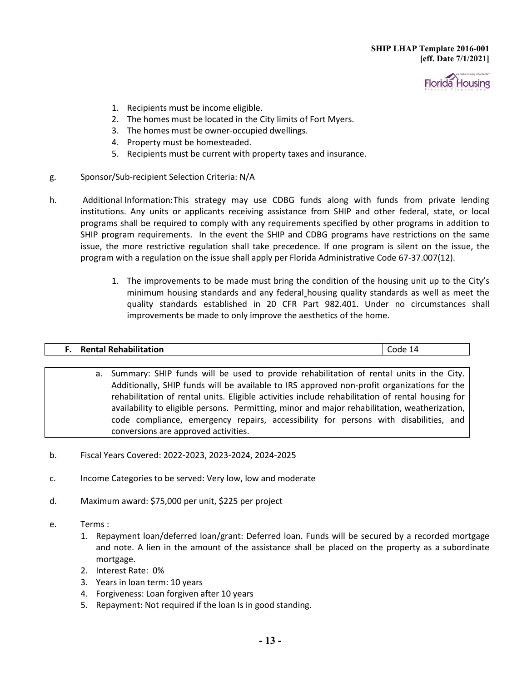

- 1. Recipients must be income eligible.
- 2. The homes must be located in the City limits of Fort Myers.
- 3. The homes must be owner-occupied dwellings.
- 4. Property must be homesteaded.
- 5. Recipients must be current with property taxes and insurance.
- g. Sponsor/Sub-recipient Selection Criteria: N/A
- h. Additional Information:This strategy may use CDBG funds along with funds from private lending institutions. Any units or applicants receiving assistance from SHIP and other federal, state, or local programs shall be required to comply with any requirements specified by other programs in addition to SHIP program requirements. In the event the SHIP and CDBG programs have restrictions on the same issue, the more restrictive regulation shall take precedence. If one program is silent on the issue, the program with a regulation on the issue shall apply per Florida Administrative Code 67-37.007(12).
	- 1. The improvements to be made must bring the condition of the housing unit up to the City's minimum housing standards and any federal housing quality standards as well as meet the quality standards established in 20 CFR Part 982.401. Under no circumstances shall improvements be made to only improve the aesthetics of the home.

| <b>Rental Rehabilitation</b><br>___________ |  |
|---------------------------------------------|--|

- a. Summary: SHIP funds will be used to provide rehabilitation of rental units in the City. Additionally, SHIP funds will be available to IRS approved non-profit organizations for the rehabilitation of rental units. Eligible activities include rehabilitation of rental housing for availability to eligible persons. Permitting, minor and major rehabilitation, weatherization, code compliance, emergency repairs, accessibility for persons with disabilities, and conversions are approved activities.
- b. Fiscal Years Covered: 2022-2023, 2023-2024, 2024-2025
- c. Income Categories to be served: Very low, low and moderate
- d. Maximum award: \$75,000 per unit, \$225 per project
- e. Terms :
	- 1. Repayment loan/deferred loan/grant: Deferred loan. Funds will be secured by a recorded mortgage and note. A lien in the amount of the assistance shall be placed on the property as a subordinate mortgage.
	- 2. Interest Rate: 0%
	- 3. Years in loan term: 10 years
	- 4. Forgiveness: Loan forgiven after 10 years
	- 5. Repayment: Not required if the loan Is in good standing.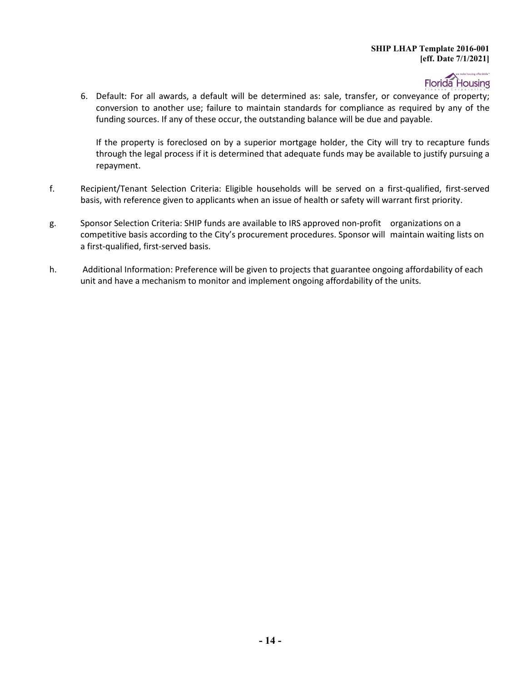# Florida Housing

6. Default: For all awards, a default will be determined as: sale, transfer, or conveyance of property; conversion to another use; failure to maintain standards for compliance as required by any of the funding sources. If any of these occur, the outstanding balance will be due and payable.

If the property is foreclosed on by a superior mortgage holder, the City will try to recapture funds through the legal process if it is determined that adequate funds may be available to justify pursuing a repayment.

- f. Recipient/Tenant Selection Criteria: Eligible households will be served on a first-qualified, first-served basis, with reference given to applicants when an issue of health or safety will warrant first priority.
- g. Sponsor Selection Criteria: SHIP funds are available to IRS approved non-profit organizations on a competitive basis according to the City's procurement procedures. Sponsor will maintain waiting lists on a first-qualified, first-served basis.
- h. Additional Information: Preference will be given to projects that guarantee ongoing affordability of each unit and have a mechanism to monitor and implement ongoing affordability of the units.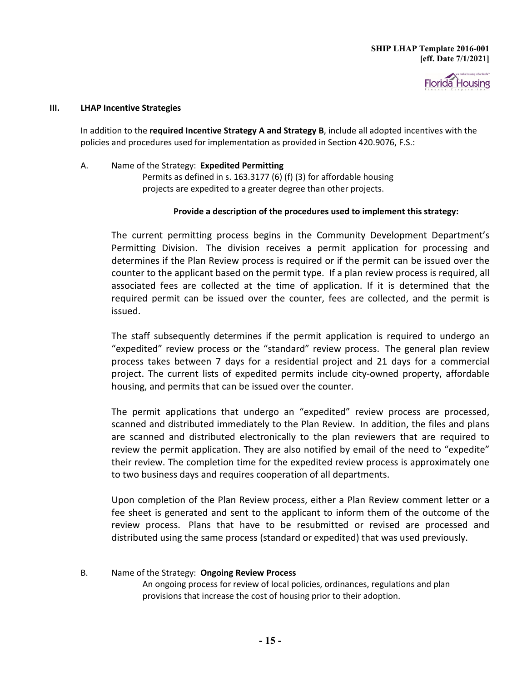

#### **III. LHAP Incentive Strategies**

In addition to the **required Incentive Strategy A and Strategy B**, include all adopted incentives with the policies and procedures used for implementation as provided in Section 420.9076, F.S.:

A. Name of the Strategy: **Expedited Permitting** Permits as defined in s. 163.3177 (6) (f) (3) for affordable housing projects are expedited to a greater degree than other projects.

#### **Provide a description of the procedures used to implement this strategy:**

The current permitting process begins in the Community Development Department's Permitting Division. The division receives a permit application for processing and determines if the Plan Review process is required or if the permit can be issued over the counter to the applicant based on the permit type. If a plan review process is required, all associated fees are collected at the time of application. If it is determined that the required permit can be issued over the counter, fees are collected, and the permit is issued.

The staff subsequently determines if the permit application is required to undergo an "expedited" review process or the "standard" review process. The general plan review process takes between 7 days for a residential project and 21 days for a commercial project. The current lists of expedited permits include city-owned property, affordable housing, and permits that can be issued over the counter.

The permit applications that undergo an "expedited" review process are processed, scanned and distributed immediately to the Plan Review. In addition, the files and plans are scanned and distributed electronically to the plan reviewers that are required to review the permit application. They are also notified by email of the need to "expedite" their review. The completion time for the expedited review process is approximately one to two business days and requires cooperation of all departments.

Upon completion of the Plan Review process, either a Plan Review comment letter or a fee sheet is generated and sent to the applicant to inform them of the outcome of the review process. Plans that have to be resubmitted or revised are processed and distributed using the same process (standard or expedited) that was used previously.

B. Name of the Strategy: **Ongoing Review Process** An ongoing process for review of local policies, ordinances, regulations and plan provisions that increase the cost of housing prior to their adoption.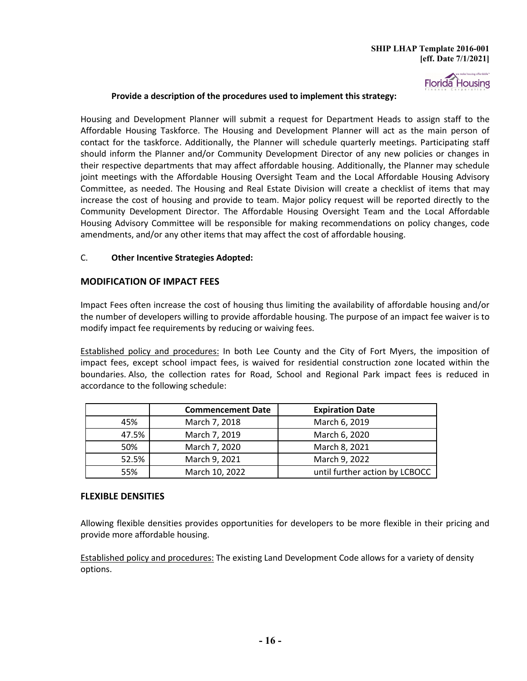

#### **Provide a description of the procedures used to implement this strategy:**

Housing and Development Planner will submit a request for Department Heads to assign staff to the Affordable Housing Taskforce. The Housing and Development Planner will act as the main person of contact for the taskforce. Additionally, the Planner will schedule quarterly meetings. Participating staff should inform the Planner and/or Community Development Director of any new policies or changes in their respective departments that may affect affordable housing. Additionally, the Planner may schedule joint meetings with the Affordable Housing Oversight Team and the Local Affordable Housing Advisory Committee, as needed. The Housing and Real Estate Division will create a checklist of items that may increase the cost of housing and provide to team. Major policy request will be reported directly to the Community Development Director. The Affordable Housing Oversight Team and the Local Affordable Housing Advisory Committee will be responsible for making recommendations on policy changes, code amendments, and/or any other items that may affect the cost of affordable housing.

#### C. **Other Incentive Strategies Adopted:**

#### **MODIFICATION OF IMPACT FEES**

Impact Fees often increase the cost of housing thus limiting the availability of affordable housing and/or the number of developers willing to provide affordable housing. The purpose of an impact fee waiver is to modify impact fee requirements by reducing or waiving fees.

Established policy and procedures: In both Lee County and the City of Fort Myers, the imposition of impact fees, except school impact fees, is waived for residential construction zone located within the boundaries. Also, the collection rates for Road, School and Regional Park impact fees is reduced in accordance to the following schedule:

|       | <b>Expiration Date</b><br><b>Commencement Date</b> |                                |  |
|-------|----------------------------------------------------|--------------------------------|--|
| 45%   | March 7, 2018                                      | March 6, 2019                  |  |
| 47.5% | March 7, 2019                                      | March 6, 2020                  |  |
| 50%   | March 7, 2020                                      | March 8, 2021                  |  |
| 52.5% | March 9, 2021                                      | March 9, 2022                  |  |
| 55%   | March 10, 2022                                     | until further action by LCBOCC |  |

#### **FLEXIBLE DENSITIES**

Allowing flexible densities provides opportunities for developers to be more flexible in their pricing and provide more affordable housing.

Established policy and procedures: The existing Land Development Code allows for a variety of density options.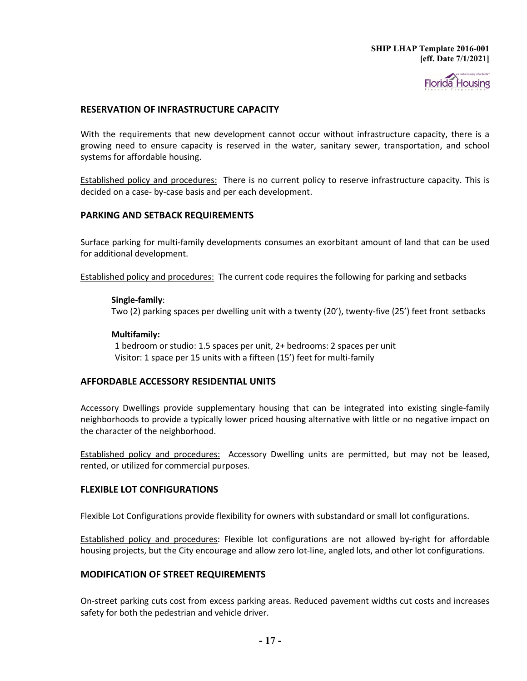

#### **RESERVATION OF INFRASTRUCTURE CAPACITY**

With the requirements that new development cannot occur without infrastructure capacity, there is a growing need to ensure capacity is reserved in the water, sanitary sewer, transportation, and school systems for affordable housing.

Established policy and procedures:There is no current policy to reserve infrastructure capacity. This is decided on a case- by-case basis and per each development.

#### **PARKING AND SETBACK REQUIREMENTS**

Surface parking for multi-family developments consumes an exorbitant amount of land that can be used for additional development.

Established policy and procedures: The current code requires the following for parking and setbacks

#### **Single-family**:

Two (2) parking spaces per dwelling unit with a twenty (20'), twenty-five (25') feet front setbacks

#### **Multifamily:**

 1 bedroom or studio: 1.5 spaces per unit, 2+ bedrooms: 2 spaces per unit Visitor: 1 space per 15 units with a fifteen (15') feet for multi-family

#### **AFFORDABLE ACCESSORY RESIDENTIAL UNITS**

Accessory Dwellings provide supplementary housing that can be integrated into existing single-family neighborhoods to provide a typically lower priced housing alternative with little or no negative impact on the character of the neighborhood.

Established policy and procedures: Accessory Dwelling units are permitted, but may not be leased, rented, or utilized for commercial purposes.

#### **FLEXIBLE LOT CONFIGURATIONS**

Flexible Lot Configurations provide flexibility for owners with substandard or small lot configurations.

Established policy and procedures: Flexible lot configurations are not allowed by-right for affordable housing projects, but the City encourage and allow zero lot-line, angled lots, and other lot configurations.

#### **MODIFICATION OF STREET REQUIREMENTS**

On-street parking cuts cost from excess parking areas. Reduced pavement widths cut costs and increases safety for both the pedestrian and vehicle driver.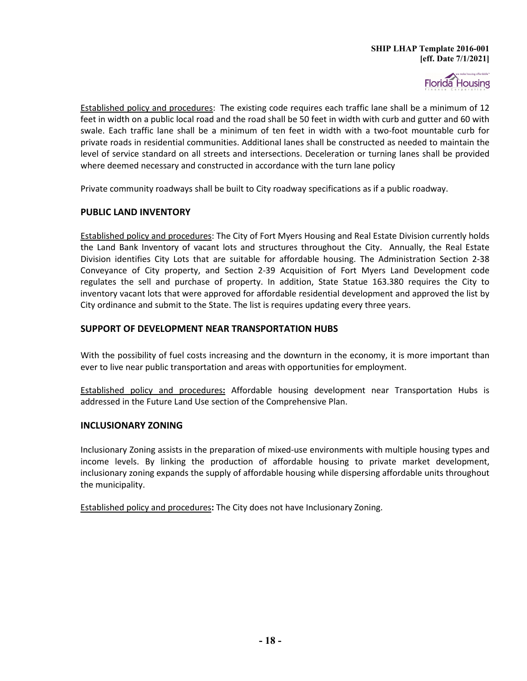

Established policy and procedures: The existing code requires each traffic lane shall be a minimum of 12 feet in width on a public local road and the road shall be 50 feet in width with curb and gutter and 60 with swale. Each traffic lane shall be a minimum of ten feet in width with a two-foot mountable curb for private roads in residential communities. Additional lanes shall be constructed as needed to maintain the level of service standard on all streets and intersections. Deceleration or turning lanes shall be provided where deemed necessary and constructed in accordance with the turn lane policy

Private community roadways shall be built to City roadway specifications as if a public roadway.

#### **PUBLIC LAND INVENTORY**

Established policy and procedures: The City of Fort Myers Housing and Real Estate Division currently holds the Land Bank Inventory of vacant lots and structures throughout the City. Annually, the Real Estate Division identifies City Lots that are suitable for affordable housing. The Administration Section 2-38 Conveyance of City property, and Section 2-39 Acquisition of Fort Myers Land Development code regulates the sell and purchase of property. In addition, State Statue 163.380 requires the City to inventory vacant lots that were approved for affordable residential development and approved the list by City ordinance and submit to the State. The list is requires updating every three years.

#### **SUPPORT OF DEVELOPMENT NEAR TRANSPORTATION HUBS**

With the possibility of fuel costs increasing and the downturn in the economy, it is more important than ever to live near public transportation and areas with opportunities for employment.

Established policy and procedures**:** Affordable housing development near Transportation Hubs is addressed in the Future Land Use section of the Comprehensive Plan.

#### **INCLUSIONARY ZONING**

Inclusionary Zoning assists in the preparation of mixed-use environments with multiple housing types and income levels. By linking the production of affordable housing to private market development, inclusionary zoning expands the supply of affordable housing while dispersing affordable units throughout the municipality.

Established policy and procedures**:** The City does not have Inclusionary Zoning.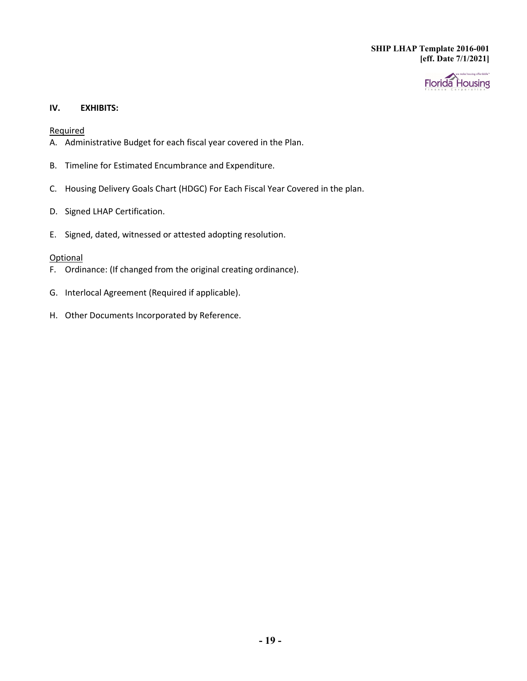

#### **IV. EXHIBITS:**

Required

- A. Administrative Budget for each fiscal year covered in the Plan.
- B. Timeline for Estimated Encumbrance and Expenditure.
- C. Housing Delivery Goals Chart (HDGC) For Each Fiscal Year Covered in the plan.
- D. Signed LHAP Certification.
- E. Signed, dated, witnessed or attested adopting resolution.

#### **Optional**

- F. Ordinance: (If changed from the original creating ordinance).
- G. Interlocal Agreement (Required if applicable).
- H. Other Documents Incorporated by Reference.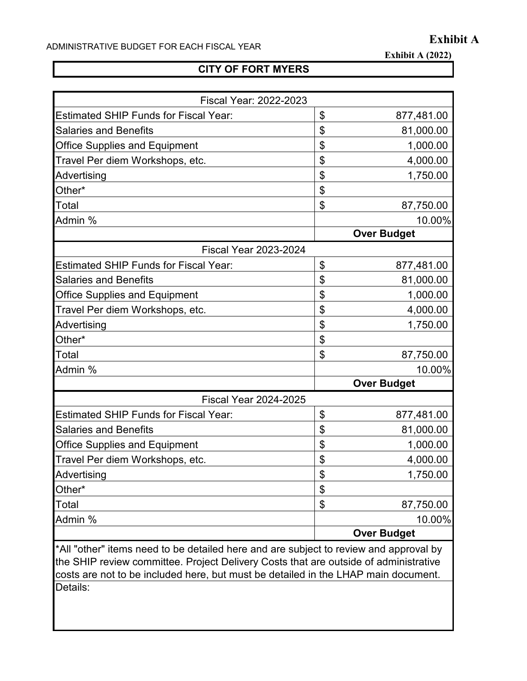**Exhibit A (2022)**

# **CITY OF FORT MYERS**

| <b>Fiscal Year: 2022-2023</b>                                                                                                                                                 |    |                    |  |
|-------------------------------------------------------------------------------------------------------------------------------------------------------------------------------|----|--------------------|--|
| <b>Estimated SHIP Funds for Fiscal Year:</b>                                                                                                                                  | \$ | 877,481.00         |  |
| <b>Salaries and Benefits</b>                                                                                                                                                  | \$ | 81,000.00          |  |
| <b>Office Supplies and Equipment</b>                                                                                                                                          | \$ | 1,000.00           |  |
| Travel Per diem Workshops, etc.                                                                                                                                               | \$ | 4,000.00           |  |
| Advertising                                                                                                                                                                   | \$ | 1,750.00           |  |
| Other*                                                                                                                                                                        | \$ |                    |  |
| Total                                                                                                                                                                         | \$ | 87,750.00          |  |
| Admin %                                                                                                                                                                       |    | 10.00%             |  |
|                                                                                                                                                                               |    | <b>Over Budget</b> |  |
| <b>Fiscal Year 2023-2024</b>                                                                                                                                                  |    |                    |  |
| <b>Estimated SHIP Funds for Fiscal Year:</b>                                                                                                                                  | \$ | 877,481.00         |  |
| <b>Salaries and Benefits</b>                                                                                                                                                  | \$ | 81,000.00          |  |
| <b>Office Supplies and Equipment</b>                                                                                                                                          | \$ | 1,000.00           |  |
| Travel Per diem Workshops, etc.                                                                                                                                               | \$ | 4,000.00           |  |
| Advertising                                                                                                                                                                   | \$ | 1,750.00           |  |
| Other*                                                                                                                                                                        | \$ |                    |  |
| Total                                                                                                                                                                         | \$ | 87,750.00          |  |
| Admin %                                                                                                                                                                       |    | 10.00%             |  |
|                                                                                                                                                                               |    | <b>Over Budget</b> |  |
| <b>Fiscal Year 2024-2025</b>                                                                                                                                                  |    |                    |  |
| <b>Estimated SHIP Funds for Fiscal Year:</b>                                                                                                                                  | \$ | 877,481.00         |  |
| <b>Salaries and Benefits</b>                                                                                                                                                  | \$ | 81,000.00          |  |
| <b>Office Supplies and Equipment</b>                                                                                                                                          | \$ | 1,000.00           |  |
| Travel Per diem Workshops, etc.                                                                                                                                               | \$ | 4,000.00           |  |
| Advertising                                                                                                                                                                   | \$ | 1,750.00           |  |
| Other*                                                                                                                                                                        | \$ |                    |  |
| Total                                                                                                                                                                         | \$ | 87,750.00          |  |
| Admin %                                                                                                                                                                       |    | 10.00%             |  |
|                                                                                                                                                                               |    | <b>Over Budget</b> |  |
| *All "other" items need to be detailed here and are subject to review and approval by<br>the SHIP review committee. Project Delivery Costs that are outside of administrative |    |                    |  |

costs are not to be included here, but must be detailed in the LHAP main document. Details: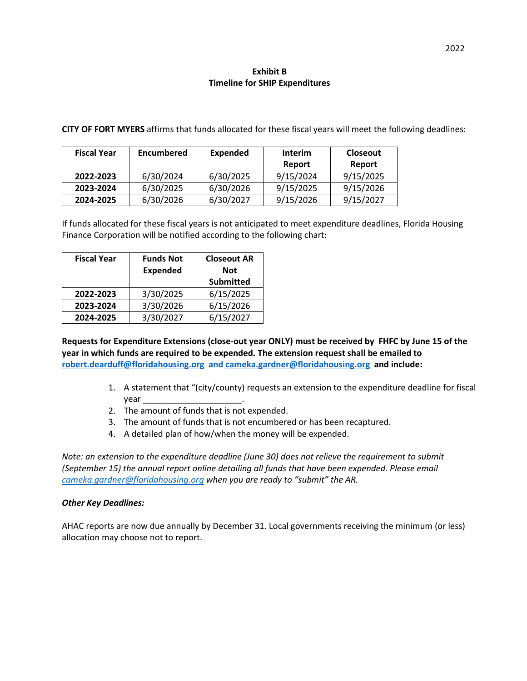#### **Exhibit B Timeline for SHIP Expenditures**

**CITY OF FORT MYERS** affirms that funds allocated for these fiscal years will meet the following deadlines:

| <b>Fiscal Year</b>     | <b>Encumbered</b> | Expended  | <b>Interim</b> | <b>Closeout</b> |
|------------------------|-------------------|-----------|----------------|-----------------|
|                        |                   |           | Report         | Report          |
| 2022-2023              | 6/30/2024         | 6/30/2025 | 9/15/2024      | 9/15/2025       |
| 2023-2024              | 6/30/2025         | 6/30/2026 | 9/15/2025      | 9/15/2026       |
| 6/30/2026<br>2024-2025 |                   | 6/30/2027 | 9/15/2026      | 9/15/2027       |

 If funds allocated for these fiscal years is not anticipated to meet expenditure deadlines, Florida Housing Finance Corporation will be notified according to the following chart:

| <b>Fiscal Year</b> | <b>Funds Not</b><br><b>Expended</b> | <b>Closeout AR</b><br><b>Not</b> |
|--------------------|-------------------------------------|----------------------------------|
|                    |                                     | <b>Submitted</b>                 |
| 2022-2023          | 3/30/2025                           | 6/15/2025                        |
| 2023-2024          | 3/30/2026                           | 6/15/2026                        |
| 2024-2025          | 3/30/2027                           | 6/15/2027                        |

 **Requests for Expenditure Extensions (close-out year ONLY) must be received by FHFC by June 15 of the [robert.dearduff@floridahousing.org](mailto:robert.dearduff@floridahousing.org) and [cameka.gardner@floridahousing.org](mailto:cameka.gardner@floridahousing.org) and include: year in which funds are required to be expended. The extension request shall be emailed to** 

- 1. A statement that "(city/county) requests an extension to the expenditure deadline for fiscal year \_\_\_\_\_\_\_\_\_\_\_\_\_\_\_\_\_\_\_\_\_.
- 2. The amount of funds that is not expended.
- 3. The amount of funds that is not encumbered or has been recaptured.
- 4. A detailed plan of how/when the money will be expended.

 *Note: an extension to the expenditure deadline (June 30) does not relieve the requirement to submit (September 15) the annual report online detailing all funds that have been expended. Please email [cameka.gardner@floridahousing.org](mailto:cameka.gardner@floridahousing.org) when you are ready to "submit" the AR.* 

#### *Other Key Deadlines:*

 AHAC reports are now due annually by December 31. Local governments receiving the minimum (or less) allocation may choose not to report.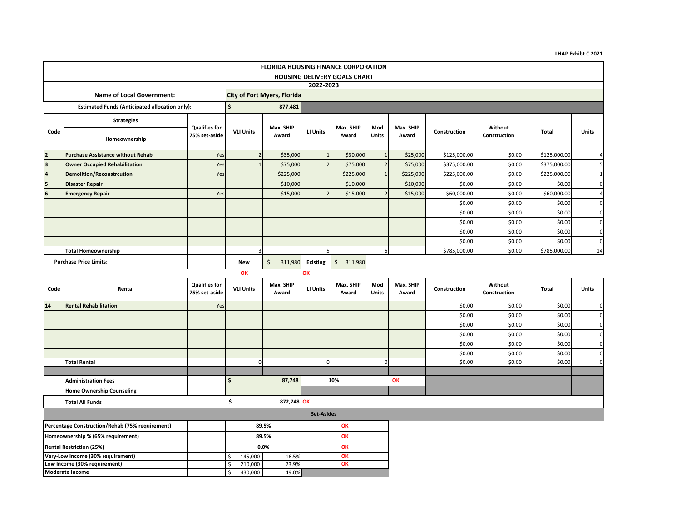|  | <b>LHAP Exhibt C 2021</b> |  |
|--|---------------------------|--|
|--|---------------------------|--|

|                         | <b>FLORIDA HOUSING FINANCE CORPORATION</b>            |                                       |                  |                                    |                       |                    |                     |                    |              |                         |              |          |  |  |
|-------------------------|-------------------------------------------------------|---------------------------------------|------------------|------------------------------------|-----------------------|--------------------|---------------------|--------------------|--------------|-------------------------|--------------|----------|--|--|
|                         | <b>HOUSING DELIVERY GOALS CHART</b>                   |                                       |                  |                                    |                       |                    |                     |                    |              |                         |              |          |  |  |
|                         |                                                       |                                       |                  |                                    | 2022-2023             |                    |                     |                    |              |                         |              |          |  |  |
|                         | <b>Name of Local Government:</b>                      |                                       |                  | <b>City of Fort Myers, Florida</b> |                       |                    |                     |                    |              |                         |              |          |  |  |
|                         | <b>Estimated Funds (Anticipated allocation only):</b> |                                       | Ŝ.               | 877,481                            |                       |                    |                     |                    |              |                         |              |          |  |  |
|                         | <b>Strategies</b>                                     |                                       |                  |                                    |                       |                    |                     |                    |              |                         |              |          |  |  |
| Code                    | Homeownership                                         | <b>Qualifies for</b><br>75% set-aside | <b>VLI Units</b> | Max. SHIP<br>Award                 | LI Units              | Max. SHIP<br>Award | Mod<br><b>Units</b> | Max. SHIP<br>Award | Construction | Without<br>Construction | <b>Total</b> | Units    |  |  |
| $\overline{2}$          | <b>Purchase Assistance without Rehab</b>              | Yes                                   |                  | \$35,000                           |                       | \$30,000           |                     | \$25,000           | \$125,000.00 | \$0.00                  | \$125,000.00 |          |  |  |
| $\overline{\mathbf{3}}$ | <b>Owner Occupied Rehabilitation</b>                  | Yes                                   |                  | \$75,000                           | $\overline{2}$        | \$75,000           | $\overline{2}$      | \$75,000           | \$375,000.00 | \$0.00                  | \$375,000.00 |          |  |  |
|                         | <b>Demolition/Reconstrcution</b>                      | Yes                                   |                  | \$225,000                          |                       | \$225,000          |                     | \$225,000          | \$225,000.00 | \$0.00                  | \$225,000.00 |          |  |  |
| 15                      | <b>Disaster Repair</b>                                |                                       |                  | \$10,000                           |                       | \$10,000           |                     | \$10,000           | \$0.00       | \$0.00                  | \$0.00       |          |  |  |
| 6                       | <b>Emergency Repair</b>                               | Yes                                   |                  | \$15,000                           |                       | \$15,000           |                     | \$15,000           | \$60,000.00  | \$0.00                  | \$60,000.00  |          |  |  |
|                         |                                                       |                                       |                  |                                    |                       |                    |                     |                    | \$0.00       | \$0.00                  | \$0.00       | $\Omega$ |  |  |
|                         |                                                       |                                       |                  |                                    |                       |                    |                     |                    | \$0.00       | \$0.00                  | \$0.00       | $\Omega$ |  |  |
|                         |                                                       |                                       |                  |                                    |                       |                    |                     |                    | \$0.00       | \$0.00                  | \$0.00       | $\Omega$ |  |  |
|                         |                                                       |                                       |                  |                                    |                       |                    |                     |                    | \$0.00       | \$0.00                  | \$0.00       | $\Omega$ |  |  |
|                         |                                                       |                                       |                  |                                    |                       |                    |                     |                    | \$0.00       | \$0.00                  | \$0.00       | $\Omega$ |  |  |
|                         | <b>Total Homeownership</b>                            |                                       | 3                |                                    |                       |                    | 6                   |                    | \$785,000.00 | \$0.00                  | \$785,000.00 | 14       |  |  |
|                         | <b>Purchase Price Limits:</b>                         |                                       | <b>New</b><br>OK | \$<br>311,980                      | <b>Existing</b><br>OK | Ŝ.<br>311,980      |                     |                    |              |                         |              |          |  |  |

|  | ı<br>٦<br>٠<br>ı<br>n<br>x<br>__ |
|--|----------------------------------|
|  |                                  |

 \$ 210,000 23.9%  $$ 430,000$  49.0%

**Moderate Income**

| Code                                       | Rental                                          | <b>Qualifies for</b><br>75% set-aside | <b>VLI Units</b> | Max. SHIP<br>Award | <b>LI Units</b>   | Max. SHIP<br>Award | Mod<br>Units | Max. SHIP<br>Award | Construction | Without<br>Construction | Total  | Units          |
|--------------------------------------------|-------------------------------------------------|---------------------------------------|------------------|--------------------|-------------------|--------------------|--------------|--------------------|--------------|-------------------------|--------|----------------|
| 14                                         | <b>Rental Rehabilitation</b>                    | Yes                                   |                  |                    |                   |                    |              |                    | \$0.00       | \$0.00                  | \$0.00 | $\circ$        |
|                                            |                                                 |                                       |                  |                    |                   |                    |              |                    | \$0.00       | \$0.00                  | \$0.00 | $\overline{0}$ |
|                                            |                                                 |                                       |                  |                    |                   |                    |              |                    | \$0.00       | \$0.00                  | \$0.00 | $\overline{0}$ |
|                                            |                                                 |                                       |                  |                    |                   |                    |              |                    | \$0.00       | \$0.00                  | \$0.00 | $\overline{0}$ |
|                                            |                                                 |                                       |                  |                    |                   |                    |              |                    | \$0.00       | \$0.00                  | \$0.00 | $\overline{0}$ |
|                                            |                                                 |                                       |                  |                    |                   |                    |              |                    | \$0.00       | \$0.00                  | \$0.00 | $\mathbf{0}$   |
|                                            | <b>Total Rental</b>                             |                                       |                  |                    |                   |                    | $\Omega$     |                    | \$0.00       | \$0.00                  | \$0.00 | $\mathbf{0}$   |
|                                            |                                                 |                                       |                  |                    |                   |                    |              |                    |              |                         |        |                |
|                                            | <b>Administration Fees</b>                      |                                       | -\$              | 87,748             |                   | 10%                |              | OK                 |              |                         |        |                |
|                                            | <b>Home Ownership Counseling</b>                |                                       |                  |                    |                   |                    |              |                    |              |                         |        |                |
|                                            | <b>Total All Funds</b>                          |                                       |                  | 872,748 OK         |                   |                    |              |                    |              |                         |        |                |
|                                            |                                                 |                                       |                  |                    | <b>Set-Asides</b> |                    |              |                    |              |                         |        |                |
|                                            | Percentage Construction/Rehab (75% requirement) |                                       |                  | 89.5%              |                   | OK                 |              |                    |              |                         |        |                |
|                                            | Homeownership % (65% requirement)               |                                       |                  | 89.5%              |                   | OK                 |              |                    |              |                         |        |                |
| <b>Rental Restriction (25%)</b><br>$0.0\%$ |                                                 |                                       |                  | OK                 |                   |                    |              |                    |              |                         |        |                |
|                                            | Very-Low Income (30% requirement)               |                                       | 145,000          | 16.5%              |                   | OK                 |              |                    |              |                         |        |                |
|                                            | Low Income (30% requirement)                    |                                       | 210,000<br>-\$   | 23.9%              |                   | OK                 |              |                    |              |                         |        |                |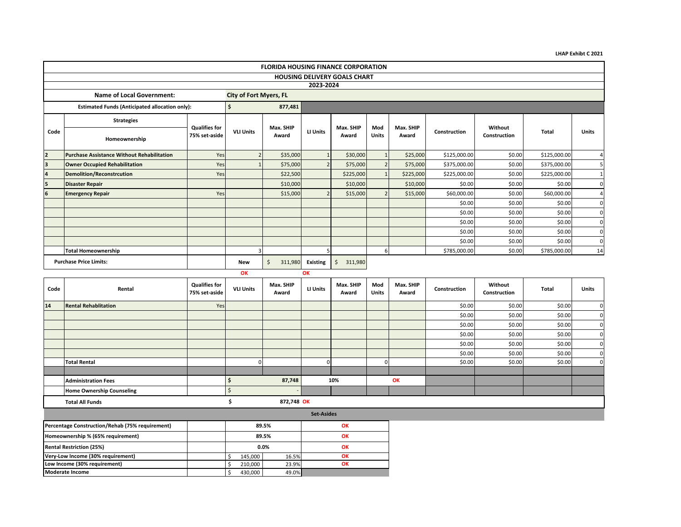|  | <b>LHAP Exhibt C 2021</b> |  |
|--|---------------------------|--|
|--|---------------------------|--|

|                         | <b>FLORIDA HOUSING FINANCE CORPORATION</b>            |                                       |                               |                    |                 |                    |                     |                    |              |                         |              |          |  |  |
|-------------------------|-------------------------------------------------------|---------------------------------------|-------------------------------|--------------------|-----------------|--------------------|---------------------|--------------------|--------------|-------------------------|--------------|----------|--|--|
|                         | <b>HOUSING DELIVERY GOALS CHART</b>                   |                                       |                               |                    |                 |                    |                     |                    |              |                         |              |          |  |  |
|                         | 2023-2024                                             |                                       |                               |                    |                 |                    |                     |                    |              |                         |              |          |  |  |
|                         | <b>Name of Local Government:</b>                      |                                       | <b>City of Fort Myers, FL</b> |                    |                 |                    |                     |                    |              |                         |              |          |  |  |
|                         | <b>Estimated Funds (Anticipated allocation only):</b> |                                       | Ś.                            | 877,481            |                 |                    |                     |                    |              |                         |              |          |  |  |
|                         | <b>Strategies</b>                                     |                                       |                               |                    |                 |                    |                     |                    |              |                         |              |          |  |  |
| Code                    | Homeownership                                         | <b>Qualifies for</b><br>75% set-aside | <b>VLI Units</b>              | Max. SHIP<br>Award | LI Units        | Max. SHIP<br>Award | Mod<br><b>Units</b> | Max. SHIP<br>Award | Construction | Without<br>Construction | Total        | Units    |  |  |
| $\overline{2}$          | <b>Purchase Assistance Without Rehabilitation</b>     | Yes                                   |                               | \$35,000           |                 | \$30,000           |                     | \$25,000           | \$125,000.00 | \$0.00                  | \$125,000.00 |          |  |  |
| $\overline{\mathbf{3}}$ | <b>Owner Occupied Rehabilitation</b>                  | Yes                                   |                               | \$75,000           | $\overline{2}$  | \$75,000           |                     | \$75,000           | \$375,000.00 | \$0.00                  | \$375,000.00 |          |  |  |
|                         | <b>Demolition/Reconstrcution</b>                      | Yes                                   |                               | \$22,500           |                 | \$225,000          |                     | \$225,000          | \$225,000.00 | \$0.00                  | \$225,000.00 |          |  |  |
| 15                      | <b>Disaster Repair</b>                                |                                       |                               | \$10,000           |                 | \$10,000           |                     | \$10,000           | \$0.00       | \$0.00                  | \$0.00       |          |  |  |
| 6                       | <b>Emergency Repair</b>                               | Yes                                   |                               | \$15,000           | $\mathcal{P}$   | \$15,000           |                     | \$15,000           | \$60,000.00  | \$0.00                  | \$60,000.00  |          |  |  |
|                         |                                                       |                                       |                               |                    |                 |                    |                     |                    | \$0.00       | \$0.00                  | \$0.00       | $\Omega$ |  |  |
|                         |                                                       |                                       |                               |                    |                 |                    |                     |                    | \$0.00       | \$0.00                  | \$0.00       | $\Omega$ |  |  |
|                         |                                                       |                                       |                               |                    |                 |                    |                     |                    | \$0.00       | \$0.00                  | \$0.00       | $\Omega$ |  |  |
|                         |                                                       |                                       |                               |                    |                 |                    |                     |                    | \$0.00       | \$0.00                  | \$0.00       | $\Omega$ |  |  |
|                         |                                                       |                                       |                               |                    |                 |                    |                     |                    | \$0.00       | \$0.00                  | \$0.00       | $\Omega$ |  |  |
|                         | <b>Total Homeownership</b>                            |                                       |                               |                    |                 |                    | 6                   |                    | \$785,000.00 | \$0.00                  | \$785,000.00 | 14       |  |  |
|                         | <b>Purchase Price Limits:</b>                         |                                       | <b>New</b>                    | \$<br>311,980      | <b>Existing</b> | Ŝ.<br>311,980      |                     |                    |              |                         |              |          |  |  |
|                         |                                                       |                                       | OK                            |                    | OK              |                    |                     |                    |              |                         |              |          |  |  |

| ш |                             |
|---|-----------------------------|
|   | v<br>٠<br>١<br>٨<br>↖<br>__ |
|   |                             |

 \$ 145,000 16.5%  $\begin{array}{c|cc}\n\text{\$} & 210,000 & 23.9\% \\
\text{\$} & 430,000 & 49.0\% \\
\end{array}$ 

 $\frac{1}{5}$  430,000

**Moderate Income**

| Code | Rental                                          | <b>Qualifies for</b><br>75% set-aside | <b>VLI Units</b> | Max. SHIP<br>Award | <b>LI Units</b>   | Max. SHIP<br>Award | Mod<br>Units | Max. SHIP<br>Award | Construction | Without<br>Construction | Total  | Units          |
|------|-------------------------------------------------|---------------------------------------|------------------|--------------------|-------------------|--------------------|--------------|--------------------|--------------|-------------------------|--------|----------------|
| 14   | <b>Rental Rehablitation</b>                     | Yes                                   |                  |                    |                   |                    |              |                    | \$0.00       | \$0.00                  | \$0.00 | $\Omega$       |
|      |                                                 |                                       |                  |                    |                   |                    |              |                    | \$0.00       | \$0.00                  | \$0.00 | $\overline{0}$ |
|      |                                                 |                                       |                  |                    |                   |                    |              |                    | \$0.00       | \$0.00                  | \$0.00 | $\Omega$       |
|      |                                                 |                                       |                  |                    |                   |                    |              |                    | \$0.00       | \$0.00                  | \$0.00 | $\Omega$       |
|      |                                                 |                                       |                  |                    |                   |                    |              |                    | \$0.00       | \$0.00                  | \$0.00 | $\Omega$       |
|      |                                                 |                                       |                  |                    |                   |                    |              |                    | \$0.00       | \$0.00                  | \$0.00 | $\Omega$       |
|      | <b>Total Rental</b>                             |                                       |                  |                    | $\Omega$          |                    |              |                    | \$0.00       | \$0.00                  | \$0.00 | $\Omega$       |
|      |                                                 |                                       |                  |                    |                   |                    |              |                    |              |                         |        |                |
|      | <b>Administration Fees</b>                      |                                       |                  | 87,748             |                   | 10%                |              | OK                 |              |                         |        |                |
|      | <b>Home Ownership Counseling</b>                |                                       |                  |                    |                   |                    |              |                    |              |                         |        |                |
|      | <b>Total All Funds</b>                          |                                       |                  | 872,748 OK         |                   |                    |              |                    |              |                         |        |                |
|      |                                                 |                                       |                  |                    | <b>Set-Asides</b> |                    |              |                    |              |                         |        |                |
|      | Percentage Construction/Rehab (75% requirement) |                                       |                  | 89.5%              |                   | OK                 |              |                    |              |                         |        |                |
|      | Homeownership % (65% requirement)               |                                       |                  | 89.5%              |                   | OK                 |              |                    |              |                         |        |                |
|      | <b>Rental Restriction (25%)</b>                 |                                       |                  | $0.0\%$            |                   | OK                 |              |                    |              |                         |        |                |
|      | Very-Low Income (30% requirement)               |                                       | 145,000          | 16.5%              |                   | OK                 |              |                    |              |                         |        |                |
|      | Low Income (30% requirement)                    |                                       | 210,000          | 23.9%              |                   | OK                 |              |                    |              |                         |        |                |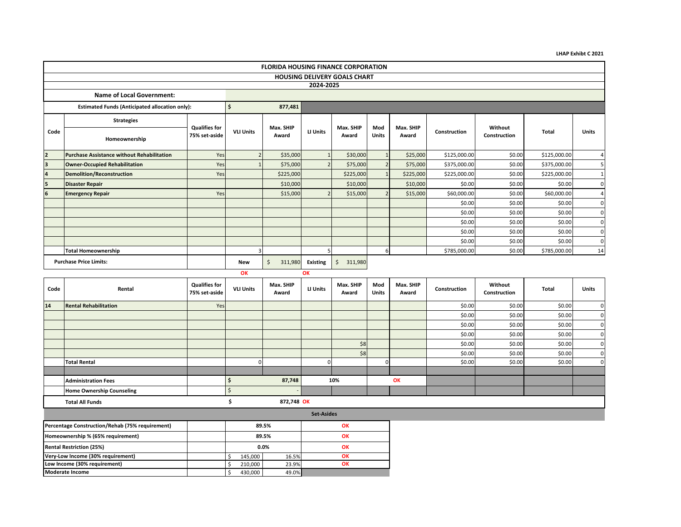**LHAP Exhibt C 2021**

|      | <b>FLORIDA HOUSING FINANCE CORPORATION</b>                                                       |                                       |                  |                    |                |                    |                     |                    |              |                         |              |                |  |  |
|------|--------------------------------------------------------------------------------------------------|---------------------------------------|------------------|--------------------|----------------|--------------------|---------------------|--------------------|--------------|-------------------------|--------------|----------------|--|--|
|      | <b>HOUSING DELIVERY GOALS CHART</b>                                                              |                                       |                  |                    |                |                    |                     |                    |              |                         |              |                |  |  |
|      | 2024-2025                                                                                        |                                       |                  |                    |                |                    |                     |                    |              |                         |              |                |  |  |
|      | <b>Name of Local Government:</b>                                                                 |                                       |                  |                    |                |                    |                     |                    |              |                         |              |                |  |  |
|      | <b>Estimated Funds (Anticipated allocation only):</b>                                            |                                       | Ŝ.               | 877,481            |                |                    |                     |                    |              |                         |              |                |  |  |
|      | <b>Strategies</b>                                                                                |                                       |                  |                    |                |                    |                     |                    |              |                         |              |                |  |  |
| Code | Homeownership                                                                                    | <b>Qualifies for</b><br>75% set-aside | <b>VLI Units</b> | Max. SHIP<br>Award | LI Units       | Max. SHIP<br>Award | Mod<br><b>Units</b> | Max. SHIP<br>Award | Construction | Without<br>Construction | <b>Total</b> | <b>Units</b>   |  |  |
|      | <b>Purchase Assistance without Rehabilitation</b>                                                | Yes                                   |                  | \$35,000           |                | \$30,000           |                     | \$25,000           | \$125,000.00 | \$0.00                  | \$125,000.00 | 4              |  |  |
|      | <b>Owner-Occupied Rehabilitation</b>                                                             | Yes                                   |                  | \$75,000           | $\overline{z}$ | \$75,000           | $\overline{2}$      | \$75,000           | \$375,000.00 | \$0.00                  | \$375,000.00 | 5              |  |  |
|      | <b>Demolition/Reconstruction</b>                                                                 | Yes                                   |                  | \$225,000          |                | \$225,000          |                     | \$225,000          | \$225,000.00 | \$0.00                  | \$225,000.00 | $\mathbf{1}$   |  |  |
|      | <b>Disaster Repair</b>                                                                           |                                       |                  | \$10,000           |                | \$10,000           |                     | \$10,000           | \$0.00       | \$0.00                  | \$0.00       | $\Omega$       |  |  |
|      | <b>Emergency Repair</b>                                                                          | Yes                                   |                  | \$15,000           | $\mathcal{D}$  | \$15,000           |                     | \$15,000           | \$60,000.00  | \$0.00                  | \$60,000.00  | $\overline{4}$ |  |  |
|      |                                                                                                  |                                       |                  |                    |                |                    |                     |                    | \$0.00       | \$0.00                  | \$0.00       | $\Omega$       |  |  |
|      |                                                                                                  |                                       |                  |                    |                |                    |                     |                    | \$0.00       | \$0.00                  | \$0.00       | $\mathbf 0$    |  |  |
|      |                                                                                                  |                                       |                  |                    |                |                    |                     |                    | \$0.00       | \$0.00                  | \$0.00       | $\Omega$       |  |  |
|      |                                                                                                  |                                       |                  |                    |                |                    |                     |                    | \$0.00       | \$0.00                  | \$0.00       | $\Omega$       |  |  |
|      |                                                                                                  |                                       |                  |                    |                |                    |                     |                    | \$0.00       | \$0.00                  | \$0.00       | $\Omega$       |  |  |
|      | <b>Total Homeownership</b>                                                                       |                                       |                  |                    |                |                    | 6                   |                    | \$785,000.00 | \$0.00                  | \$785,000.00 | 14             |  |  |
|      | <b>Purchase Price Limits:</b><br>\$<br>311,980<br><b>Existing</b><br>311,980<br><b>New</b><br>\$ |                                       |                  |                    |                |                    |                     |                    |              |                         |              |                |  |  |
|      |                                                                                                  |                                       | OK               |                    | OK             |                    |                     |                    |              |                         |              |                |  |  |

| Code                                                     | Rental                                     | <b>Qualifies for</b><br>75% set-aside | <b>VLI Units</b> | Max. SHIP<br>Award | LI Units          | Max. SHIP<br>Award | Mod<br>Units | Max. SHIP<br>Award | Construction | Without<br>Construction | Total  | Units        |
|----------------------------------------------------------|--------------------------------------------|---------------------------------------|------------------|--------------------|-------------------|--------------------|--------------|--------------------|--------------|-------------------------|--------|--------------|
| 14                                                       | <b>Rental Rehabilitation</b>               | Yes                                   |                  |                    |                   |                    |              |                    | \$0.00       | \$0.00                  | \$0.00 | $\mathbf{0}$ |
|                                                          |                                            |                                       |                  |                    |                   |                    |              |                    | \$0.00       | \$0.00                  | \$0.00 | $\mathbf{0}$ |
|                                                          |                                            |                                       |                  |                    |                   |                    |              |                    | \$0.00       | \$0.00                  | \$0.00 | $\mathbf{0}$ |
|                                                          |                                            |                                       |                  |                    |                   |                    |              |                    | \$0.00       | \$0.00                  | \$0.00 | $\mathbf{0}$ |
|                                                          |                                            |                                       |                  |                    |                   | \$8                |              |                    | \$0.00       | \$0.00                  | \$0.00 | $\mathbf{0}$ |
|                                                          |                                            |                                       |                  |                    |                   | \$8                |              |                    | \$0.00       | \$0.00                  | \$0.00 | $\mathbf{0}$ |
|                                                          | <b>Total Rental</b>                        |                                       |                  |                    | 0                 |                    |              |                    | \$0.00       | \$0.00                  | \$0.00 | $\mathbf{0}$ |
|                                                          |                                            |                                       |                  |                    |                   |                    |              |                    |              |                         |        |              |
|                                                          | <b>Administration Fees</b>                 |                                       |                  | 87,748             |                   | 10%                |              | OK                 |              |                         |        |              |
|                                                          | <b>Home Ownership Counseling</b>           |                                       | S.               |                    |                   |                    |              |                    |              |                         |        |              |
|                                                          | <b>Total All Funds</b>                     |                                       |                  | 872,748 OK         |                   |                    |              |                    |              |                         |        |              |
|                                                          |                                            |                                       |                  |                    | <b>Set-Asides</b> |                    |              |                    |              |                         |        |              |
| Percentage Construction/Rehab (75% requirement)<br>89.5% |                                            |                                       |                  |                    | OK                |                    |              |                    |              |                         |        |              |
|                                                          | Homeownership % (65% requirement)<br>89.5% |                                       |                  | OK                 |                   |                    |              |                    |              |                         |        |              |
|                                                          | <b>Rental Restriction (25%)</b><br>$0.0\%$ |                                       |                  | OK                 |                   |                    |              |                    |              |                         |        |              |
|                                                          | Very-Low Income (30% requirement)          |                                       | 145,000          | 16.5%              |                   | OK                 |              |                    |              |                         |        |              |

 \$ 210,000 23.9%  $$ 430,000$  49.0%

**Low Income (30% requirement) OK**

**Moderate Income**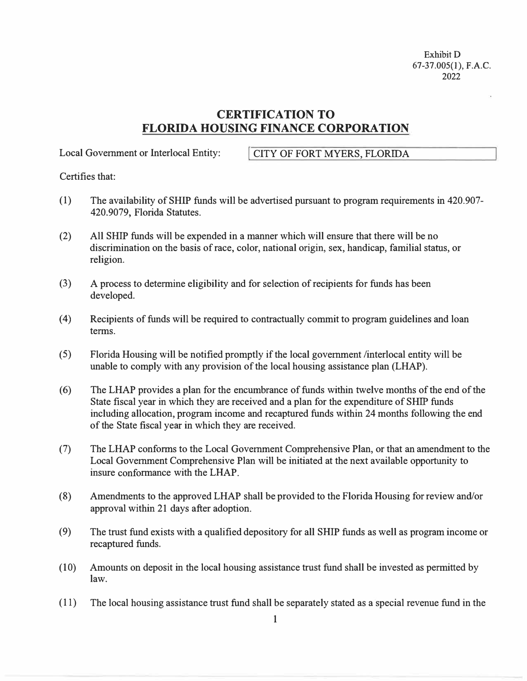Exhibit D 67-37.005(1), F.A.C. 2022

# **CERTIFICATION TO FLORIDA HOUSING FINANCE CORPORATION**

Local Government or Interlocal Entity: **I CITY OF FORT MYERS, FLORIDA** 

Certifies that:

- (1) The availability of SHIP funds will be advertised pursuant to program requirements in 420.907- 420.9079, Florida Statutes.
- (2) All SHIP funds will be expended in a manner which will ensure that there will be no discrimination on the basis of race, color, national origin, sex, handicap, familial status, or religion.
- (3) A process to determine eligibility and for selection of recipients for funds has been developed.
- ( 4) Recipients of funds will be required to contractually commit to program guidelines and loan terms.
- (5) Florida Housing will be notified promptly if the local government /interlocal entity will be unable to comply with any provision of the local housing assistance plan (LHAP).
- (6) The LHAP provides a plan for the encumbrance of funds within twelve months of the end of the State fiscal year in which they are received and a plan for the expenditure of SHIP funds including allocation, program income and recaptured funds within 24 months following the end of the State fiscal year in which they are received.
- (7) The LHAP conforms to the Local Government Comprehensive Plan, or that an amendment to the Local Government Comprehensive Plan will be initiated at the next available opportunity to insure conformance with the LHAP.
- (8) Amendments to the approved LHAP shall be provided to the Florida Housing for review and/or approval within 21 days after adoption.
- (9) The trust fund exists with a qualified depository for all SHIP funds as well as program income or recaptured funds.
- (10) Amounts on deposit in the local housing assistance trust fund shall be invested as permitted by law.
- (11) The local housing assistance trust fund shall be separately stated as a special revenue fund in the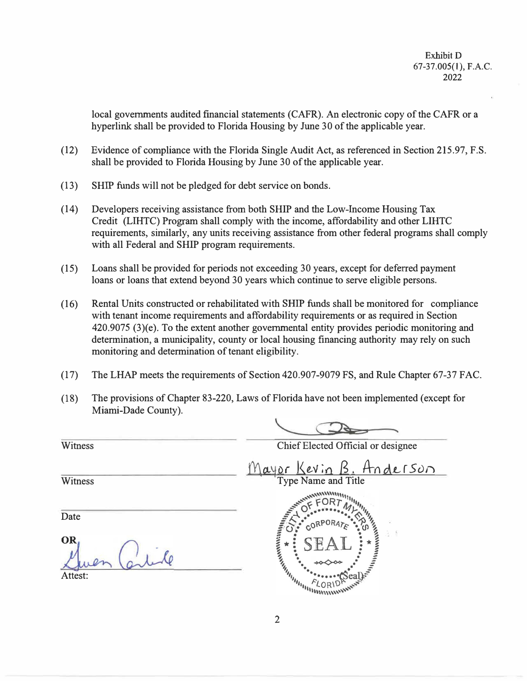local governments audited financial statements (CAFR). An electronic copy of the CAFR or a hyperlink shall be provided to Florida Housing by June 30 of the applicable year.

- (12) Evidence of compliance with the Florida Single Audit Act, as referenced in Section 215.97, F.S. shall be provided to Florida Housing by June 30 of the applicable year.
- (13) SHIP funds will not be pledged for debt service on bonds.
- (14) Developers receiving assistance from both SHIP and the Low-Income Housing Tax Credit (LIHTC) Program shall comply with the income, affordability and other LIHTC requirements, similarly, any units receiving assistance from other federal programs shall comply with all Federal and SHIP program requirements.
- (15) Loans shall be provided for periods not exceeding 30 years, except for deferred payment loans or loans that extend beyond 30 years which continue to serve eligible persons.
- (16) Rental Units constructed or rehabilitated with **SHIP** funds shall be monitored for compliance with tenant income requirements and affordability requirements or as required in Section 420.9075 (3)(e). To the extent another governmental entity provides periodic monitoring and determination, a municipality, county or local housing financing authority may rely on such monitoring and determination of tenant eligibility.
- (17) The LHAP meets the requirements of Section 420.907-9079 FS, and Rule Chapter 67-37 FAC.
- (18) The provisions of Chapter 83-220, Laws of Florida have not been implemented ( except for Miami-Dade County).

Chief Elected Official or designee **Witness** *(Y\Q...�ur l<e.\l;o B: A-(\o\LrSun*  **Witness** Type Name and Title **ANNIHIRERE 2** Date OR Attest: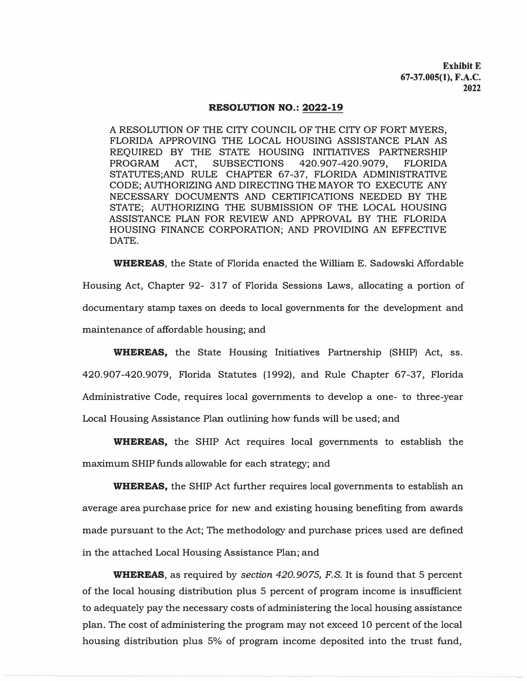**Exhibit E 67-37.005(1), F.A.C. 2022** 

#### RESOLUTION NO.: 2022-19

A RESOLUTION OF THE CITY COUNCIL OF THE CITY OF FORT MYERS, FLORIDA APPROVING THE LOCAL HOUSING ASSISTANCE PLAN AS REQUIRED BY THE STATE HOUSING INITIATIVES PARTNERSHIP PROGRAM ACT, SUBSECTIONS 420.907-420.9079, FLORIDA STATUTES;AND RULE CHAPTER 67-37, FLORIDA ADMINISTRATIVE CODE; AUTHORIZING AND DIRECTING THE MAYOR TO EXECUTE ANY NECESSARY DOCUMENTS AND CERTIFICATIONS NEEDED BY THE STATE; AUTHORIZING THE SUBMISSION OF THE LOCAL HOUSING ASSISTANCE PLAN FOR REVIEW AND APPROVAL BY THE FLORIDA HOUSING FINANCE CORPORATION; AND PROVIDING AN EFFECTIVE DATE.

WHEREAS, the State of Florida enacted the William E. Sadowski Affordable Housing Act, Chapter 92- 317 of Florida Sessions Laws, allocating a portion of documentary stamp taxes on deeds to local governments for the development and maintenance of affordable housing; and

WHEREAS, the State Housing Initiatives Partnership (SHIP) Act, ss. 420.907-420.9079, Florida Statutes (1992), and Rule Chapter 67-37, Florida Administrative Code, requires local governments to develop a one- to three-year Local Housing Assistance Plan outlining how funds will be used; and

WHEREAS, the SHIP Act requires local governments to establish the maximum SHIP funds allowable for each strategy; and

**WHEREAS,** the SHIP Act further requires local governments to establish an average area purchase price for new and existing housing benefiting from awards made pursuant to the Act; The methodology and purchase prices used are defined in the attached Local Housing Assistance Plan; and

WHEREAS, as required by *section 420.9075, F.S.* It is found that 5 percent of the local housing distribution plus 5 percent of program income is insufficient to adequately pay the necessary costs of administering the local housing assistance plan. The cost of administering the program may not exceed 10 percent of the local housing distribution plus 5% of program income deposited into the trust fund,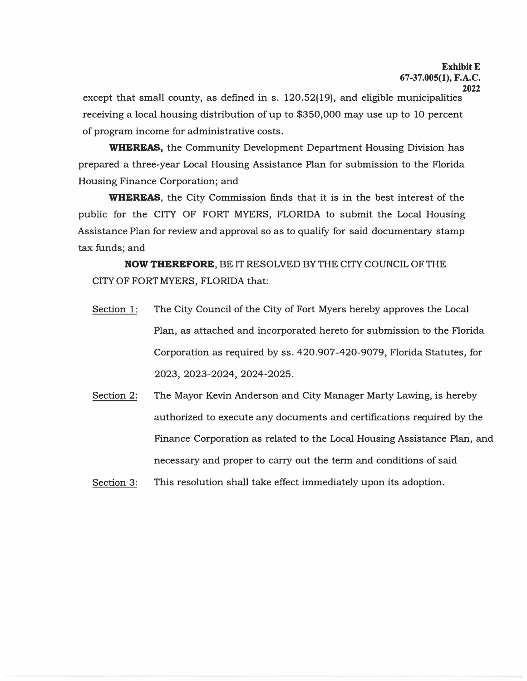## **ExhibitE 67-37.005(1), F.A.C.**

**2022** 

except that small county, as defined in s. 120.52(19), and eligible municipalities receiving a local housing distribution of up to \$350,000 may use up to 10 percent of program income for administrative costs.

**WHEREAS,** the Community Development Department Housing Division has prepared a three-year Local Housing Assistance Plan for submission to the Florida Housing Finance Corporation; and

**WHEREAS,** the City Commission finds that it is in the best interest of the public for the CITY OF FORT MYERS, FLORIDA to submit the Local Housing Assistance Plan for review and approval so as to qualify for said documentary stamp tax funds; and

**NOW THEREFORE, BE IT RESOLVED BY THE CITY COUNCIL OF THE** CITY OF FORT MYERS, FLORIDA that:

- Section 1: The City Council of the City of Fort Myers hereby approves the Local Plan, as attached and incorporated hereto for submission to the Florida Corporation as required by ss. 420.907-420-9079, Florida Statutes, for 2023, 2023-2024, 2024-2025.
- Section 2: The Mayor Kevin Anderson and City Manager Marty Lawing, is hereby authorized to execute any documents and certifications required by the Finance Corporation as related to the Local Housing Assistance Plan, and necessary and proper to carry out the term and conditions of said

Section 3: This resolution shall take effect immediately upon its adoption.